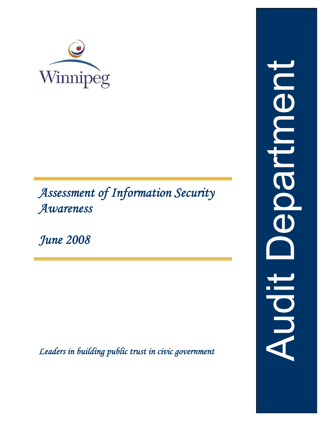

*Assessment of Information Security Awareness* 

*June 2008*

*Leaders in building public trust in civic government*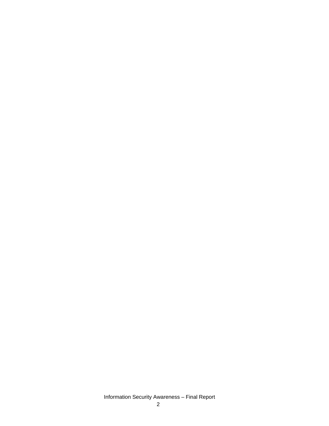Information Security Awareness – Final Report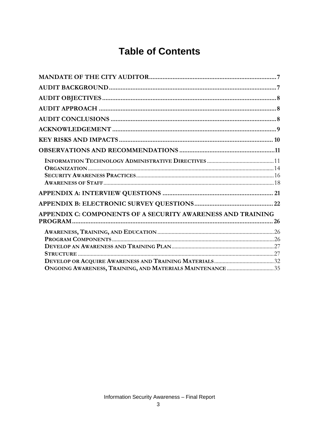# **Table of Contents**

| APPENDIX C: COMPONENTS OF A SECURITY AWARENESS AND TRAINING |  |
|-------------------------------------------------------------|--|
|                                                             |  |
|                                                             |  |
|                                                             |  |
|                                                             |  |
|                                                             |  |
| ONGOING AWARENESS, TRAINING, AND MATERIALS MAINTENANCE 35   |  |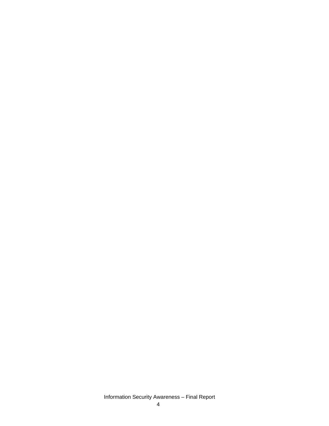Information Security Awareness – Final Report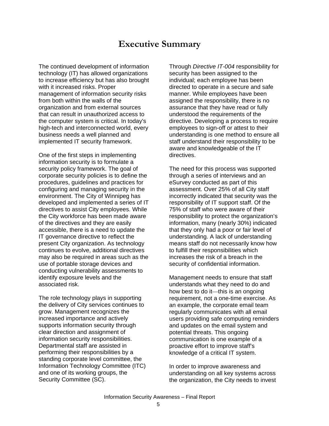# **Executive Summary**

The continued development of information technology (IT) has allowed organizations to increase efficiency but has also brought with it increased risks. Proper management of information security risks from both within the walls of the organization and from external sources that can result in unauthorized access to the computer system is critical. In today's high-tech and interconnected world, every business needs a well planned and implemented IT security framework.

One of the first steps in implementing information security is to formulate a security policy framework. The goal of corporate security policies is to define the procedures, guidelines and practices for configuring and managing security in the environment. The City of Winnipeg has developed and implemented a series of IT directives to assist City employees. While the City workforce has been made aware of the directives and they are easily accessible, there is a need to update the IT governance directive to reflect the present City organization. As technology continues to evolve, additional directives may also be required in areas such as the use of portable storage devices and conducting vulnerability assessments to identify exposure levels and the associated risk.

The role technology plays in supporting the delivery of City services continues to grow. Management recognizes the increased importance and actively supports information security through clear direction and assignment of information security responsibilities. Departmental staff are assisted in performing their responsibilities by a standing corporate level committee, the Information Technology Committee (ITC) and one of its working groups, the Security Committee (SC).

Through *Directive IT-004* responsibility for security has been assigned to the individual; each employee has been directed to operate in a secure and safe manner. While employees have been assigned the responsibility, there is no assurance that they have read or fully understood the requirements of the directive. Developing a process to require employees to sign-off or attest to their understanding is one method to ensure all staff understand their responsibility to be aware and knowledgeable of the IT directives.

The need for this process was supported through a series of interviews and an eSurvey conducted as part of this assessment. Over 25% of all City staff incorrectly indicated that security was the responsibility of IT support staff. Of the 75% of staff who were aware of their responsibility to protect the organization's information, many (nearly 30%) indicated that they only had a poor or fair level of understanding. A lack of understanding means staff do not necessarily know how to fulfill their responsibilities which increases the risk of a breach in the security of confidential information.

Management needs to ensure that staff understands what they need to do and how best to do it—this is an ongoing requirement, not a one-time exercise. As an example, the corporate email team regularly communicates with all email users providing safe computing reminders and updates on the email system and potential threats. This ongoing communication is one example of a proactive effort to improve staff's knowledge of a critical IT system.

In order to improve awareness and understanding on all key systems across the organization, the City needs to invest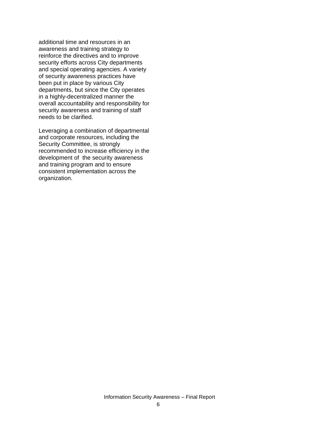additional time and resources in an awareness and training strategy to reinforce the directives and to improve security efforts across City departments and special operating agencies. A variety of security awareness practices have been put in place by various City departments, but since the City operates in a highly-decentralized manner the overall accountability and responsibility for security awareness and training of staff needs to be clarified.

Leveraging a combination of departmental and corporate resources, including the Security Committee, is strongly recommended to increase efficiency in the development of the security awareness and training program and to ensure consistent implementation across the organization.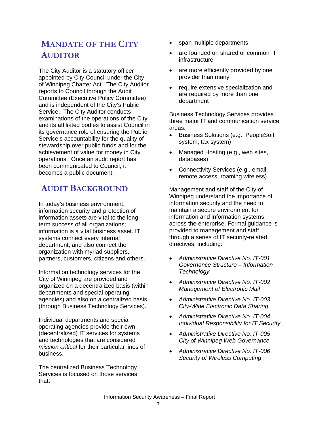# <span id="page-6-0"></span>**MANDATE OF THE CITY AUDITOR**

The City Auditor is a statutory officer appointed by City Council under the City of Winnipeg Charter Act. The City Auditor reports to Council through the Audit Committee (Executive Policy Committee) and is independent of the City's Public Service. The City Auditor conducts examinations of the operations of the City and its affiliated bodies to assist Council in its governance role of ensuring the Public Service's accountability for the quality of stewardship over public funds and for the achievement of value for money in City operations. Once an audit report has been communicated to Council, it becomes a public document.

# **AUDIT BACKGROUND**

In today's business environment, information security and protection of information assets are vital to the longterm success of all organizations; information is a vital business asset. IT systems connect every internal department, and also connect the organization with myriad suppliers, partners, customers, citizens and others.

Information technology services for the City of Winnipeg are provided and organized on a decentralized basis (within departments and special operating agencies) and also on a centralized basis (through Business Technology Services).

Individual departments and special operating agencies provide their own (decentralized) IT services for systems and technologies that are considered *mission critical* for their particular lines of business.

The centralized Business Technology Services is focused on those services that:

- span multiple departments
- are founded on shared or common IT infrastructure
- are more efficiently provided by one provider than many
- require extensive specialization and are required by more than one department

Business Technology Services provides three major IT and communication service areas:

- Business Solutions (e.g., PeopleSoft system, tax system)
- Managed Hosting (e.g., web sites, databases)
- Connectivity Services (e.g., email, remote access, roaming wireless)

Management and staff of the City of Winnipeg understand the importance of information security and the need to maintain a secure environment for information and information systems across the enterprise. Formal guidance is provided to management and staff through a series of IT security-related directives, including:

- *Administrative Directive No. IT-001 Governance Structure – Information Technology*
- *Administrative Directive No. IT-002 Management of Electronic Mail*
- *Administrative Directive No. IT-003 City-Wide Electronic Data Sharing*
- *Administrative Directive No. IT-004 Individual Responsibility for IT Security*
- *Administrative Directive No. IT-005 City of Winnipeg Web Governance*
- *Administrative Directive No. IT-006 Security of Wireless Computing*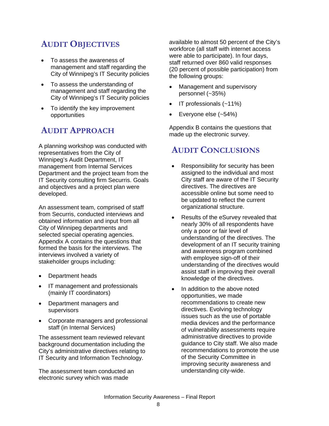# <span id="page-7-0"></span>**AUDIT OBJECTIVES**

- To assess the awareness of management and staff regarding the City of Winnipeg's IT Security policies
- To assess the understanding of management and staff regarding the City of Winnipeg's IT Security policies
- To identify the key improvement opportunities

# **AUDIT APPROACH**

A planning workshop was conducted with representatives from the City of Winnipeg's Audit Department, IT management from Internal Services Department and the project team from the IT Security consulting firm Securris. Goals and objectives and a project plan were developed.

An assessment team, comprised of staff from Securris, conducted interviews and obtained information and input from all City of Winnipeg departments and selected special operating agencies. Appendix A contains the questions that formed the basis for the interviews. The interviews involved a variety of stakeholder groups including:

- Department heads
- IT management and professionals (mainly IT coordinators)
- Department managers and supervisors
- Corporate managers and professional staff (in Internal Services)

The assessment team reviewed relevant background documentation including the City's administrative directives relating to IT Security and Information Technology.

The assessment team conducted an electronic survey which was made

available to almost 50 percent of the City's workforce (all staff with internet access were able to participate). In four days, staff returned over 860 valid responses (20 percent of possible participation) from the following groups:

- Management and supervisory personnel (~35%)
- IT professionals  $(-11%)$
- Everyone else (~54%)

Appendix B contains the questions that made up the electronic survey.

# **AUDIT CONCLUSIONS**

- Responsibility for security has been assigned to the individual and most City staff are aware of the IT Security directives. The directives are accessible online but some need to be updated to reflect the current organizational structure.
- Results of the eSurvey revealed that nearly 30% of all respondents have only a poor or fair level of understanding of the directives. The development of an IT security training and awareness program combined with employee sign-off of their understanding of the directives would assist staff in improving their overall knowledge of the directives.
- In addition to the above noted opportunities, we made recommendations to create new directives. Evolving technology issues such as the use of portable media devices and the performance of vulnerability assessments require administrative directives to provide guidance to City staff. We also made recommendations to promote the use of the Security Committee in improving security awareness and understanding city-wide.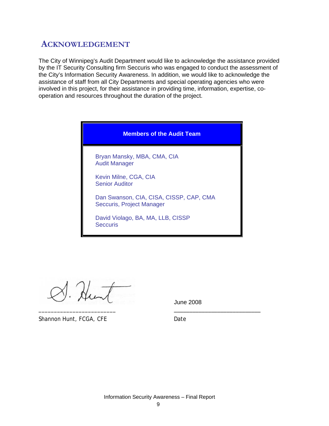# <span id="page-8-0"></span>**ACKNOWLEDGEMENT**

The City of Winnipeg's Audit Department would like to acknowledge the assistance provided by the IT Security Consulting firm Seccuris who was engaged to conduct the assessment of the City's Information Security Awareness. In addition, we would like to acknowledge the assistance of staff from all City Departments and special operating agencies who were involved in this project, for their assistance in providing time, information, expertise, cooperation and resources throughout the duration of the project.

| <b>Members of the Audit Team</b>                                     |
|----------------------------------------------------------------------|
| Bryan Mansky, MBA, CMA, CIA<br><b>Audit Manager</b>                  |
| Kevin Milne, CGA, CIA<br><b>Senior Auditor</b>                       |
| Dan Swanson, CIA, CISA, CISSP, CAP, CMA<br>Seccuris, Project Manager |
| David Violago, BA, MA, LLB, CISSP<br><b>Seccuris</b>                 |

J. Hin

Shannon Hunt, FCGA, CFE Date

June 2008

\_\_\_\_\_\_\_\_\_\_\_\_\_\_\_\_\_\_\_\_\_\_\_\_\_ *\_\_\_\_\_\_\_\_\_\_\_\_\_\_\_\_\_\_\_\_\_\_\_\_\_\_\_\_*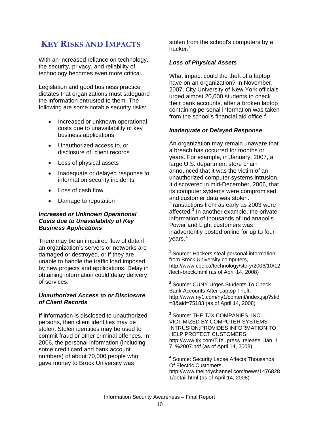# <span id="page-9-0"></span>**KEY RISKS AND IMPACTS**

With an increased reliance on technology, the security, privacy, and reliability of technology becomes even more critical.

Legislation and good business practice dictates that organizations must safeguard the information entrusted to them. The following are some notable security risks:

- Increased or unknown operational costs due to unavailability of key business applications
- Unauthorized access to, or disclosure of, client records
- Loss of physical assets
- Inadequate or delayed response to information security incidents
- Loss of cash flow
- Damage to reputation

#### *Increased or Unknown Operational Costs due to Unavailability of Key Business Applications*

<span id="page-9-1"></span>There may be an impaired flow of data if an organization's servers or networks are damaged or destroyed, or if they are unable to handle the traffic load imposed by new projects and applications. Delay in obtaining information could delay delivery of services.

#### <span id="page-9-2"></span>*Unauthorized Access to or Disclosure of Client Records*

<span id="page-9-4"></span><span id="page-9-3"></span>If information is disclosed to unauthorized persons, then client identities may be stolen. Stolen identities may be used to commit fraud or other criminal offences. In 2006, the personal information (including some credit card and bank account numbers) of about 70,000 people who gave money to Brock University was

stolen from the school's computers by a hacker.**[1](#page-9-1)**

#### *Loss of Physical Assets*

What impact could the theft of a laptop have on an organization? In November, 2007, City University of New York officials urged almost 20,000 students to check their bank accounts, after a broken laptop containing personal information was taken from the school's financial aid office.**[2](#page-9-2)**

### *Inadequate or Delayed Response*

An organization may remain unaware that a breach has occurred for months or years. For example, in January, 2007, a large U.S. department store chain announced that it was the victim of an unauthorized computer systems intrusion. It discovered in mid-December, 2006, that its computer systems were compromised and customer data was stolen. Transactions from as early as 2003 were affected.**[3](#page-9-3)** In another example, the private information of thousands of Indianapolis Power and Light customers was inadvertently posted online for up to four years.**[4](#page-9-4)**

 **1** Source: Hackers steal personal information from Brock University computers, http://www.cbc.ca/technology/story/2006/10/12 /tech-brock.html (as of April 14, 2008)

**2** Source: CUNY Urges Students To Check Bank Accounts After Laptop Theft, http://www.ny1.com/ny1/content/index.jsp?stid =8&aid=75183 (as of April 14, 2008)

**3** Source: THE TJX COMPANIES, INC. VICTIMIZED BY COMPUTER SYSTEMS INTRUSION;PROVIDES INFORMATION TO HELP PROTECT CUSTOMERS, http://www.tjx.com/TJX\_press\_release\_Jan\_1 7\_%2007.pdf (as of April 14, 2008)

**4** Source: Security Lapse Affects Thousands Of Electric Customers, http://www.theindychannel.com/news/1476828 1/detail.html (as of April 14, 2008)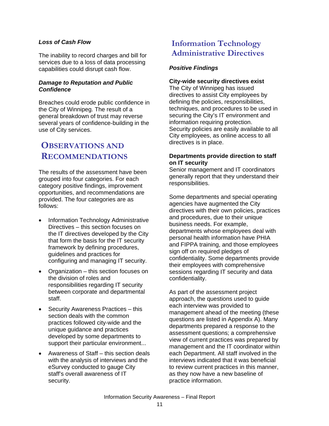### <span id="page-10-0"></span>*Loss of Cash Flow*

The inability to record charges and bill for services due to a loss of data processing capabilities could disrupt cash flow.

### *Damage to Reputation and Public Confidence*

Breaches could erode public confidence in the City of Winnipeg. The result of a general breakdown of trust may reverse several years of confidence-building in the use of City services.

# **OBSERVATIONS AND RECOMMENDATIONS**

The results of the assessment have been grouped into four categories. For each category positive findings, improvement opportunities, and recommendations are provided. The four categories are as follows:

- Information Technology Administrative Directives – this section focuses on the IT directives developed by the City that form the basis for the IT security framework by defining procedures, guidelines and practices for configuring and managing IT security.
- Organization this section focuses on the division of roles and responsibilities regarding IT security between corporate and departmental staff.
- Security Awareness Practices this section deals with the common practices followed city-wide and the unique guidance and practices developed by some departments to support their particular environment...
- Awareness of Staff this section deals with the analysis of interviews and the eSurvey conducted to gauge City staff's overall awareness of IT security.

# **Information Technology Administrative Directives**

# *Positive Findings*

## **City-wide security directives exist**

The City of Winnipeg has issued directives to assist City employees by defining the policies, responsibilities, techniques, and procedures to be used in securing the City's IT environment and information requiring protection. Security policies are easily available to all City employees, as online access to all directives is in place.

### **Departments provide direction to staff on IT security**

Senior management and IT coordinators generally report that they understand their responsibilities.

Some departments and special operating agencies have augmented the City directives with their own policies, practices and procedures, due to their unique business needs. For example, departments whose employees deal with personal health information have PHIA and FIPPA training, and those employees sign off on required pledges of confidentiality. Some departments provide their employees with comprehensive sessions regarding IT security and data confidentiality.

As part of the assessment project approach, the questions used to guide each interview was provided to management ahead of the meeting (these questions are listed in Appendix A). Many departments prepared a response to the assessment questions; a comprehensive view of current practices was prepared by management and the IT coordinator within each Department. All staff involved in the interviews indicated that it was beneficial to review current practices in this manner, as they now have a new baseline of practice information.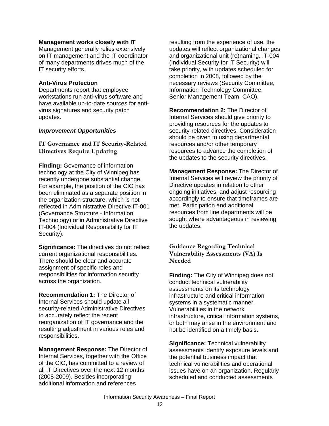#### **Management works closely with IT**

Management generally relies extensively on IT management and the IT coordinator of many departments drives much of the IT security efforts.

#### **Anti-Virus Protection**

Departments report that employee workstations run anti-virus software and have available up-to-date sources for antivirus signatures and security patch updates.

### *Improvement Opportunities*

**IT Governance and IT Security-Related Directives Require Updating** 

**Finding:** Governance of information technology at the City of Winnipeg has recently undergone substantial change. For example, the position of the CIO has been eliminated as a separate position in the organization structure, which is not reflected in Administrative Directive IT-001 (Governance Structure - Information Technology) or in Administrative Directive IT-004 (Individual Responsibility for IT Security).

**Significance:** The directives do not reflect current organizational responsibilities. There should be clear and accurate assignment of specific roles and responsibilities for information security across the organization.

**Recommendation 1:** The Director of Internal Services should update all security-related Administrative Directives to accurately reflect the recent reorganization of IT governance and the resulting adjustment in various roles and responsibilities.

**Management Response:** The Director of Internal Services, together with the Office of the CIO, has committed to a review of all IT Directives over the next 12 months (2008-2009). Besides incorporating additional information and references

resulting from the experience of use, the updates will reflect organizational changes and organizational unit (re)naming. IT-004 (Individual Security for IT Security) will take priority, with updates scheduled for completion in 2008, followed by the necessary reviews (Security Committee, Information Technology Committee, Senior Management Team, CAO).

**Recommendation 2:** The Director of Internal Services should give priority to providing resources for the updates to security-related directives. Consideration should be given to using departmental resources and/or other temporary resources to advance the completion of the updates to the security directives.

**Management Response:** The Director of Internal Services will review the priority of Directive updates in relation to other ongoing initiatives, and adjust resourcing accordingly to ensure that timeframes are met. Participation and additional resources from line departments will be sought where advantageous in reviewing the updates.

**Guidance Regarding Technical Vulnerability Assessments (VA) Is Needed** 

**Finding:** The City of Winnipeg does not conduct technical vulnerability assessments on its technology infrastructure and critical information systems in a systematic manner. Vulnerabilities in the network infrastructure, critical information systems, or both may arise in the environment and not be identified on a timely basis.

**Significance:** Technical vulnerability assessments identify exposure levels and the potential business impact that technical vulnerabilities and operational issues have on an organization. Regularly scheduled and conducted assessments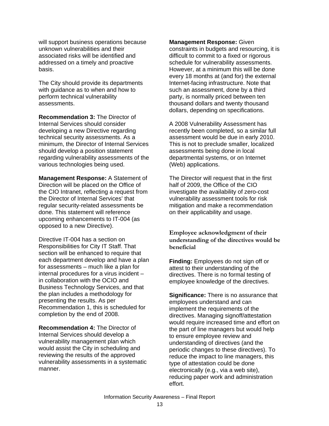will support business operations because unknown vulnerabilities and their associated risks will be identified and addressed on a timely and proactive basis.

The City should provide its departments with guidance as to when and how to perform technical vulnerability assessments.

**Recommendation 3:** The Director of Internal Services should consider developing a new Directive regarding technical security assessments. As a minimum, the Director of Internal Services should develop a position statement regarding vulnerability assessments of the various technologies being used.

**Management Response:** A Statement of Direction will be placed on the Office of the CIO Intranet, reflecting a request from the Director of Internal Services' that regular security-related assessments be done. This statement will reference upcoming enhancements to IT-004 (as opposed to a new Directive).

Directive IT-004 has a section on Responsibilities for City IT Staff. That section will be enhanced to require that each department develop and have a plan for assessments – much like a plan for internal procedures for a virus incident – in collaboration with the OCIO and Business Technology Services, and that the plan includes a methodology for presenting the results. As per Recommendation 1, this is scheduled for completion by the end of 2008.

**Recommendation 4:** The Director of Internal Services should develop a vulnerability management plan which would assist the City in scheduling and reviewing the results of the approved vulnerability assessments in a systematic manner.

**Management Response:** Given constraints in budgets and resourcing, it is difficult to commit to a fixed or rigorous schedule for vulnerability assessments. However, at a minimum this will be done every 18 months at (and for) the external Internet-facing infrastructure. Note that such an assessment, done by a third party, is normally priced between ten thousand dollars and twenty thousand dollars, depending on specifications.

A 2008 Vulnerability Assessment has recently been completed, so a similar full assessment would be due in early 2010. This is not to preclude smaller, localized assessments being done in local departmental systems, or on Internet (Web) applications.

The Director will request that in the first half of 2009, the Office of the CIO investigate the availability of zero-cost vulnerability assessment tools for risk mitigation and make a recommendation on their applicability and usage.

**Employee acknowledgment of their understanding of the directives would be beneficial** 

**Finding:** Employees do not sign off or attest to their understanding of the directives. There is no formal testing of employee knowledge of the directives.

**Significance:** There is no assurance that employees understand and can implement the requirements of the directives. Managing signoff/attestation would require increased time and effort on the part of line managers but would help to ensure employee review and understanding of directives (and the periodic changes to these directives). To reduce the impact to line managers, this type of attestation could be done electronically (e.g., via a web site), reducing paper work and administration effort.

Information Security Awareness – Final Report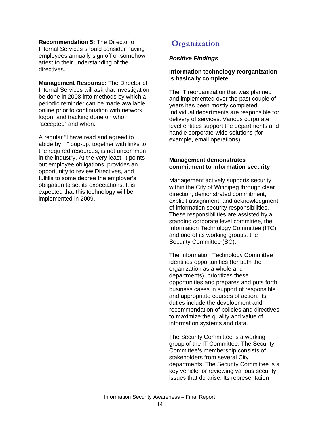<span id="page-13-0"></span>**Recommendation 5:** The Director of Internal Services should consider having employees annually sign off or somehow attest to their understanding of the directives.

**Management Response:** The Director of Internal Services will ask that investigation be done in 2008 into methods by which a periodic reminder can be made available online prior to continuation with network logon, and tracking done on who "accepted" and when.

A regular "I have read and agreed to abide by…" pop-up, together with links to the required resources, is not uncommon in the industry. At the very least, it points out employee obligations, provides an opportunity to review Directives, and fulfills to some degree the employer's obligation to set its expectations. It is expected that this technology will be implemented in 2009.

# **Organization**

## *Positive Findings*

#### **Information technology reorganization is basically complete**

The IT reorganization that was planned and implemented over the past couple of years has been mostly completed. Individual departments are responsible for delivery of services. Various corporate level entities support the departments and handle corporate-wide solutions (for example, email operations).

#### **Management demonstrates commitment to information security**

Management actively supports security within the City of Winnipeg through clear direction, demonstrated commitment, explicit assignment, and acknowledgment of information security responsibilities. These responsibilities are assisted by a standing corporate level committee, the Information Technology Committee (ITC) and one of its working groups, the Security Committee (SC).

The Information Technology Committee identifies opportunities (for both the organization as a whole and departments), prioritizes these opportunities and prepares and puts forth business cases in support of responsible and appropriate courses of action. Its duties include the development and recommendation of policies and directives to maximize the quality and value of information systems and data.

The Security Committee is a working group of the IT Committee. The Security Committee's membership consists of stakeholders from several City departments. The Security Committee is a key vehicle for reviewing various security issues that do arise. Its representation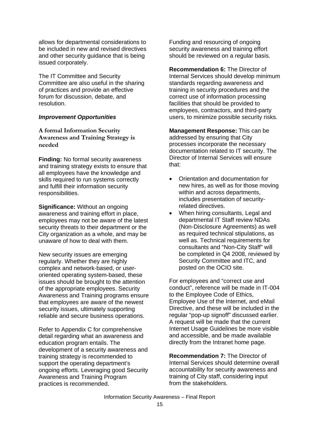allows for departmental considerations to be included in new and revised directives and other security guidance that is being issued corporately.

The IT Committee and Security Committee are also useful in the sharing of practices and provide an effective forum for discussion, debate, and resolution.

### *Improvement Opportunities*

**A formal Information Security Awareness and Training Strategy is needed** 

**Finding:** No formal security awareness and training strategy exists to ensure that all employees have the knowledge and skills required to run systems correctly and fulfill their information security responsibilities.

**Significance:** Without an ongoing awareness and training effort in place, employees may not be aware of the latest security threats to their department or the City organization as a whole, and may be unaware of how to deal with them.

New security issues are emerging regularly. Whether they are highly complex and network-based, or useroriented operating system-based, these issues should be brought to the attention of the appropriate employees. Security Awareness and Training programs ensure that employees are aware of the newest security issues, ultimately supporting reliable and secure business operations.

Refer to Appendix C for comprehensive detail regarding what an awareness and education program entails. The development of a security awareness and training strategy is recommended to support the operating department's ongoing efforts. Leveraging good Security Awareness and Training Program practices is recommended.

Funding and resourcing of ongoing security awareness and training effort should be reviewed on a regular basis.

**Recommendation 6:** The Director of Internal Services should develop minimum standards regarding awareness and training in security procedures and the correct use of information processing facilities that should be provided to employees, contractors, and third-party users, to minimize possible security risks.

**Management Response:** This can be addressed by ensuring that City processes incorporate the necessary documentation related to IT security. The Director of Internal Services will ensure that:

- Orientation and documentation for new hires, as well as for those moving within and across departments, includes presentation of securityrelated directives.
- When hiring consultants, Legal and departmental IT Staff review NDAs (Non-Disclosure Agreements) as well as required technical stipulations, as well as. Technical requirements for consultants and "Non-City Staff" will be completed in Q4 2008, reviewed by Security Committee and ITC, and posted on the OCIO site.

For employees and "correct use and conduct", reference will be made in IT-004 to the Employee Code of Ethics, Employee Use of the Internet, and eMail Directive, and these will be included in the regular "pop-up signoff" discussed earlier. A request will be made that the current Internet Usage Guidelines be more visible and accessible, and be made available directly from the Intranet home page.

**Recommendation 7:** The Director of Internal Services should determine overall accountability for security awareness and training of City staff, considering input from the stakeholders.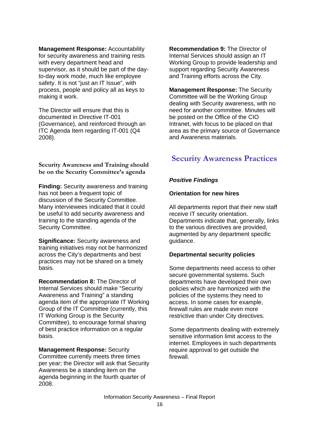<span id="page-15-0"></span>**Management Response:** Accountability for security awareness and training rests with every department head and supervisor, as it should be part of the dayto-day work mode, much like employee safety. It is not "just an IT Issue", with process, people and policy all as keys to making it work.

The Director will ensure that this is documented in Directive IT-001 (Governance), and reinforced through an ITC Agenda Item regarding IT-001 (Q4 2008).

**Security Awareness and Training should be on the Security Committee's agenda** 

**Finding:** Security awareness and training has not been a frequent topic of discussion of the Security Committee. Many interviewees indicated that it could be useful to add security awareness and training to the standing agenda of the Security Committee.

**Significance:** Security awareness and training initiatives may not be harmonized across the City's departments and best practices may not be shared on a timely basis.

**Recommendation 8:** The Director of Internal Services should make "Security Awareness and Training" a standing agenda item of the appropriate IT Working Group of the IT Committee (currently, this IT Working Group is the Security Committee), to encourage formal sharing of best practice information on a regular basis.

**Management Response:** Security Committee currently meets three times per year; the Director will ask that Security Awareness be a standing item on the agenda beginning in the fourth quarter of 2008.

**Recommendation 9:** The Director of Internal Services should assign an IT Working Group to provide leadership and support regarding Security Awareness and Training efforts across the City.

**Management Response:** The Security Committee will be the Working Group dealing with Security awareness, with no need for another committee. Minutes will be posted on the Office of the CIO Intranet, with focus to be placed on that area as the primary source of Governance and Awareness materials.

# **Security Awareness Practices**

## *Positive Findings*

### **Orientation for new hires**

All departments report that their new staff receive IT security orientation. Departments indicate that, generally, links to the various directives are provided, augmented by any department specific guidance.

## **Departmental security policies**

Some departments need access to other secure governmental systems. Such departments have developed their own policies which are harmonized with the policies of the systems they need to access. In some cases for example, firewall rules are made even more restrictive than under City directives.

Some departments dealing with extremely sensitive information limit access to the internet. Employees in such departments require approval to get outside the firewall.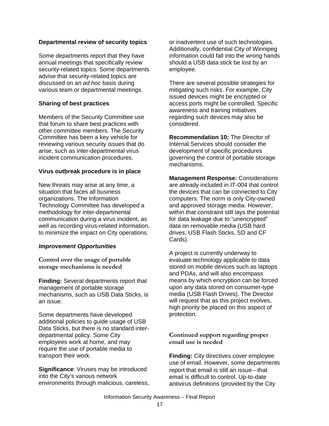### **Departmental review of security topics**

Some departments report that they have annual meetings that specifically review security-related topics. Some departments advise that security-related topics are discussed on an *ad hoc* basis during various team or departmental meetings.

### **Sharing of best practices**

Members of the Security Committee use that forum to share best practices with other committee members. The Security Committee has been a key vehicle for reviewing various security issues that do arise, such as inter-departmental virus incident communication procedures.

#### **Virus outbreak procedure is in place**

New threats may arise at any time, a situation that faces all business organizations. The Information Technology Committee has developed a methodology for inter-departmental communication during a virus incident, as well as recording virus-related information, to minimize the impact on City operations.

### *Improvement Opportunities*

**Control over the usage of portable storage mechanisms is needed** 

**Finding:** Several departments report that management of portable storage mechanisms, such as USB Data Sticks, is an issue.

Some departments have developed additional policies to guide usage of USB Data Sticks, but there is no standard interdepartmental policy. Some City employees work at home, and may require the use of portable media to transport their work.

**Significance**: Viruses may be introduced into the City's various network environments through malicious, careless, or inadvertent use of such technologies. Additionally, confidential City of Winnipeg information could fall into the wrong hands should a USB data stick be lost by an employee.

There are several possible strategies for mitigating such risks. For example, City issued devices might be encrypted or access ports might be controlled. Specific awareness and training initiatives regarding such devices may also be considered.

**Recommendation 10:** The Director of Internal Services should consider the development of specific procedures governing the control of portable storage mechanisms.

**Management Response:** Considerations are already included in IT-004 that control the devices that can be connected to City computers. The norm is only City-owned and approved storage media. However, within that constraint still lays the potential for data leakage due to "unencrypted" data on removable media (USB hard drives, USB Flash Sticks, SD and CF Cards).

A project is currently underway to evaluate technology applicable to data stored on mobile devices such as laptops and PDAs, and will also encompass means by which encryption can be forced upon any data stored on consumer-type media (USB Flash Drives). The Director will request that as this project evolves, high priority be placed on this aspect of protection.

### **Continued support regarding proper email use is needed**

**Finding:** City directives cover employee use of email. However, some departments report that email is still an issue—that email is difficult to control. Up-to-date antivirus definitions (provided by the City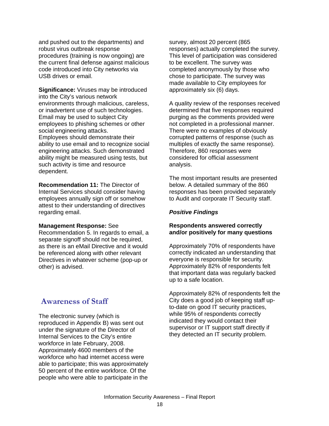<span id="page-17-0"></span>and pushed out to the departments) and robust virus outbreak response procedures (training is now ongoing) are the current final defense against malicious code introduced into City networks via USB drives or email.

**Significance:** Viruses may be introduced into the City's various network environments through malicious, careless, or inadvertent use of such technologies. Email may be used to subject City employees to phishing schemes or other social engineering attacks. Employees should demonstrate their ability to use email and to recognize social engineering attacks. Such demonstrated ability might be measured using tests, but such activity is time and resource dependent.

**Recommendation 11:** The Director of Internal Services should consider having employees annually sign off or somehow attest to their understanding of directives regarding email.

#### **Management Response:** See

Recommendation 5. In regards to email, a separate signoff should not be required, as there is an eMail Directive and it would be referenced along with other relevant Directives in whatever scheme (pop-up or other) is advised.

# **Awareness of Staff**

The electronic survey (which is reproduced in Appendix B) was sent out under the signature of the Director of Internal Services to the City's entire workforce in late February, 2008. Approximately 4600 members of the workforce who had internet access were able to participate; this was approximately 50 percent of the entire workforce. Of the people who were able to participate in the

survey, almost 20 percent (865 responses) actually completed the survey. This level of participation was considered to be excellent. The survey was completed anonymously by those who chose to participate. The survey was made available to City employees for approximately six (6) days.

A quality review of the responses received determined that five responses required purging as the comments provided were not completed in a professional manner. There were no examples of obviously corrupted patterns of response (such as multiples of exactly the same response). Therefore, 860 responses were considered for official assessment analysis.

The most important results are presented below. A detailed summary of the 860 responses has been provided separately to Audit and corporate IT Security staff.

#### *Positive Findings*

#### **Respondents answered correctly and/or positively for many questions**

Approximately 70% of respondents have correctly indicated an understanding that everyone is responsible for security. Approximately 82% of respondents felt that important data was regularly backed up to a safe location.

Approximately 82% of respondents felt the City does a good job of keeping staff upto-date on good IT security practices, while 95% of respondents correctly indicated they would contact their supervisor or IT support staff directly if they detected an IT security problem.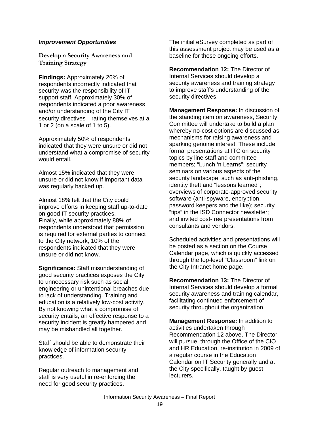#### *Improvement Opportunities*

**Develop a Security Awareness and Training Strategy** 

**Findings:** Approximately 26% of respondents incorrectly indicated that security was the responsibility of IT support staff. Approximately 30% of respondents indicated a poor awareness and/or understanding of the City IT security directives—rating themselves at a 1 or 2 (on a scale of 1 to 5).

Approximately 50% of respondents indicated that they were unsure or did not understand what a compromise of security would entail.

Almost 15% indicated that they were unsure or did not know if important data was regularly backed up.

Almost 18% felt that the City could improve efforts in keeping staff up-to-date on good IT security practices. Finally, while approximately 88% of respondents understood that permission is required for external parties to connect to the City network, 10% of the respondents indicated that they were unsure or did not know.

**Significance:** Staff misunderstanding of good security practices exposes the City to unnecessary risk such as social engineering or unintentional breaches due to lack of understanding. Training and education is a relatively low-cost activity. By not knowing what a compromise of security entails, an effective response to a security incident is greatly hampered and may be mishandled all together.

Staff should be able to demonstrate their knowledge of information security practices.

Regular outreach to management and staff is very useful in re-enforcing the need for good security practices.

The initial eSurvey completed as part of this assessment project may be used as a baseline for these ongoing efforts.

**Recommendation 12:** The Director of Internal Services should develop a security awareness and training strategy to improve staff's understanding of the security directives.

**Management Response:** In discussion of the standing item on awareness, Security Committee will undertake to build a plan whereby no-cost options are discussed as mechanisms for raising awareness and sparking genuine interest. These include formal presentations at ITC on security topics by line staff and committee members; "Lunch 'n Learns"; security seminars on various aspects of the security landscape, such as anti-phishing, identity theft and "lessons learned"; overviews of corporate-approved security software (anti-spyware, encryption, password keepers and the like); security "tips" in the ISD Connector newsletter; and invited cost-free presentations from consultants and vendors.

Scheduled activities and presentations will be posted as a section on the Course Calendar page, which is quickly accessed through the top-level "Classroom" link on the City Intranet home page.

**Recommendation 13:** The Director of Internal Services should develop a formal security awareness and training calendar, facilitating continued enforcement of security throughout the organization.

**Management Response:** In addition to activities undertaken through Recommendation 12 above, The Director will pursue, through the Office of the CIO and HR Education, re-institution in 2009 of a regular course in the Education Calendar on IT Security generally and at the City specifically, taught by guest lecturers.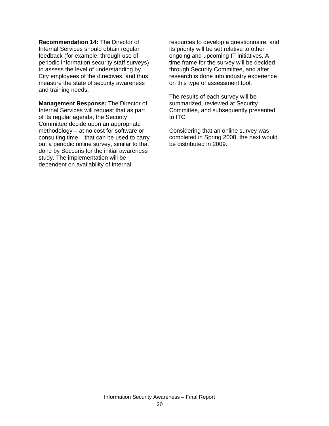**Recommendation 14:** The Director of Internal Services should obtain regular feedback (for example, through use of periodic information security staff surveys) to assess the level of understanding by City employees of the directives, and thus measure the state of security awareness and training needs.

**Management Response:** The Director of Internal Services will request that as part of its regular agenda, the Security Committee decide upon an appropriate methodology – at no cost for software or consulting time – that can be used to carry out a periodic online survey, similar to that done by Seccuris for the initial awareness study. The implementation will be dependent on availability of internal

resources to develop a questionnaire, and its priority will be set relative to other ongoing and upcoming IT initiatives. A time frame for the survey will be decided through Security Committee, and after research is done into industry experience on this type of assessment tool.

The results of each survey will be summarized, reviewed at Security Committee, and subsequently presented to ITC.

Considering that an online survey was completed in Spring 2008, the next would be distributed in 2009.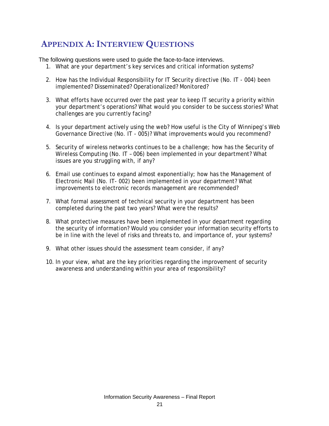# <span id="page-20-0"></span>**APPENDIX A: INTERVIEW QUESTIONS**

The following questions were used to guide the face-to-face interviews.

- 1. What are your department's key services and critical information systems?
- 2. How has the Individual Responsibility for IT Security directive (No. IT 004) been implemented? Disseminated? Operationalized? Monitored?
- 3. What efforts have occurred over the past year to keep IT security a priority within your department's operations? What would you consider to be success stories? What challenges are you currently facing?
- 4. Is your department actively using the web? How useful is the City of Winnipeg's Web Governance Directive (No. IT - 005)? What improvements would you recommend?
- 5. Security of wireless networks continues to be a challenge; how has the Security of Wireless Computing (No. IT – 006) been implemented in your department? What issues are you struggling with, if any?
- 6. Email use continues to expand almost exponentially; how has the Management of Electronic Mail (No. IT- 002) been implemented in your department? What improvements to electronic records management are recommended?
- 7. What formal assessment of technical security in your department has been completed during the past two years? What were the results?
- 8. What protective measures have been implemented in your department regarding the security of information? Would you consider your information security efforts to be in line with the level of risks and threats to, and importance of, your systems?
- 9. What other issues should the assessment team consider, if any?
- 10. In your view, what are the key priorities regarding the improvement of security awareness and understanding within your area of responsibility?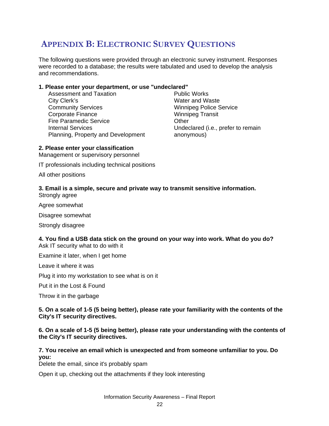# <span id="page-21-0"></span>**APPENDIX B: ELECTRONIC SURVEY QUESTIONS**

The following questions were provided through an electronic survey instrument. Responses were recorded to a database; the results were tabulated and used to develop the analysis and recommendations.

### **1. Please enter your department, or use "undeclared"**

Assessment and Taxation City Clerk's Community Services Corporate Finance Fire Paramedic Service Internal Services Planning, Property and Development

Public Works Water and Waste Winnipeg Police Service Winnipeg Transit **Other** Undeclared (i.e., prefer to remain anonymous)

## **2. Please enter your classification**

Management or supervisory personnel

IT professionals including technical positions

All other positions

**3. Email is a simple, secure and private way to transmit sensitive information.**  Strongly agree

Agree somewhat

Disagree somewhat

Strongly disagree

#### **4. You find a USB data stick on the ground on your way into work. What do you do?**  Ask IT security what to do with it

Examine it later, when I get home

Leave it where it was

Plug it into my workstation to see what is on it

Put it in the Lost & Found

Throw it in the garbage

### **5. On a scale of 1-5 (5 being better), please rate your familiarity with the contents of the City's IT security directives.**

### **6. On a scale of 1-5 (5 being better), please rate your understanding with the contents of the City's IT security directives.**

## **7. You receive an email which is unexpected and from someone unfamiliar to you. Do you:**

Delete the email, since it's probably spam

Open it up, checking out the attachments if they look interesting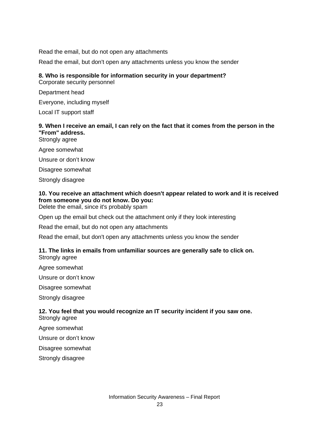Read the email, but do not open any attachments

Read the email, but don't open any attachments unless you know the sender

### **8. Who is responsible for information security in your department?**

Corporate security personnel

Department head Everyone, including myself Local IT support staff

## **9. When I receive an email, I can rely on the fact that it comes from the person in the "From" address.**

Strongly agree

Agree somewhat

Unsure or don't know

Disagree somewhat

Strongly disagree

### **10. You receive an attachment which doesn't appear related to work and it is received from someone you do not know. Do you:**

Delete the email, since it's probably spam

Open up the email but check out the attachment only if they look interesting

Read the email, but do not open any attachments

Read the email, but don't open any attachments unless you know the sender

## **11. The links in emails from unfamiliar sources are generally safe to click on.**

Strongly agree

Agree somewhat

Unsure or don't know

Disagree somewhat

Strongly disagree

#### **12. You feel that you would recognize an IT security incident if you saw one.**  Strongly agree

Agree somewhat

Unsure or don't know

Disagree somewhat

Strongly disagree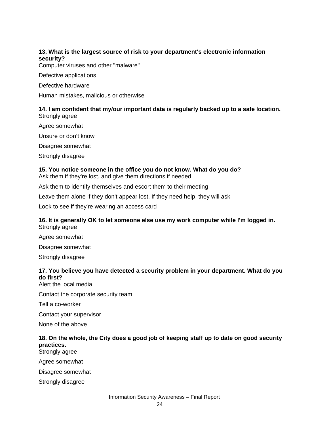### **13. What is the largest source of risk to your department's electronic information security?**

Computer viruses and other "malware"

Defective applications

Defective hardware

Human mistakes, malicious or otherwise

### **14. I am confident that my/our important data is regularly backed up to a safe location.**  Strongly agree

Agree somewhat

Unsure or don't know

Disagree somewhat

Strongly disagree

### **15. You notice someone in the office you do not know. What do you do?**

Ask them if they're lost, and give them directions if needed

Ask them to identify themselves and escort them to their meeting

Leave them alone if they don't appear lost. If they need help, they will ask

Look to see if they're wearing an access card

#### **16. It is generally OK to let someone else use my work computer while I'm logged in.**  Strongly agree

Agree somewhat

Disagree somewhat

Strongly disagree

## **17. You believe you have detected a security problem in your department. What do you do first?**

Alert the local media

Contact the corporate security team

Tell a co-worker

Contact your supervisor

None of the above

# **18. On the whole, the City does a good job of keeping staff up to date on good security practices.**

Strongly agree

Agree somewhat

Disagree somewhat

Strongly disagree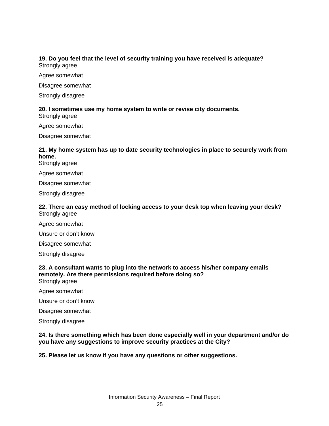#### **19. Do you feel that the level of security training you have received is adequate?**  Strongly agree

Agree somewhat

Disagree somewhat

Strongly disagree

### **20. I sometimes use my home system to write or revise city documents.**

Strongly agree

Agree somewhat

Disagree somewhat

## **21. My home system has up to date security technologies in place to securely work from home.**

Strongly agree

Agree somewhat

Disagree somewhat

Strongly disagree

#### **22. There an easy method of locking access to your desk top when leaving your desk?** Strongly agree

Agree somewhat

Unsure or don't know

Disagree somewhat

Strongly disagree

#### **23. A consultant wants to plug into the network to access his/her company emails remotely. Are there permissions required before doing so?**  Strongly agree

Agree somewhat

Unsure or don't know

Disagree somewhat

Strongly disagree

#### **24. Is there something which has been done especially well in your department and/or do you have any suggestions to improve security practices at the City?**

**25. Please let us know if you have any questions or other suggestions.**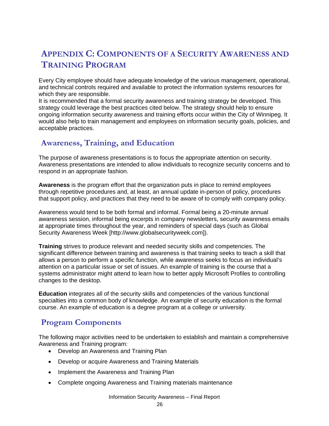# <span id="page-25-0"></span>**APPENDIX C: COMPONENTS OF A SECURITY AWARENESS AND TRAINING PROGRAM**

Every City employee should have adequate knowledge of the various management, operational, and technical controls required and available to protect the information systems resources for which they are responsible.

It is recommended that a formal security awareness and training strategy be developed. This strategy could leverage the best practices cited below. The strategy should help to ensure ongoing information security awareness and training efforts occur within the City of Winnipeg. It would also help to train management and employees on information security goals, policies, and acceptable practices.

# **Awareness, Training, and Education**

The purpose of awareness presentations is to focus the appropriate attention on security. Awareness presentations are intended to allow individuals to recognize security concerns and to respond in an appropriate fashion.

**Awareness** is the program effort that the organization puts in place to remind employees through repetitive procedures and, at least, an annual update in-person of policy, procedures that support policy, and practices that they need to be aware of to comply with company policy.

Awareness would tend to be both formal and informal. Formal being a 20-minute annual awareness session, informal being excerpts in company newsletters, security awareness emails at appropriate times throughout the year, and reminders of special days (such as Global Security Awareness Week [http://www.globalsecurityweek.com]).

**Training** strives to produce relevant and needed security skills and competencies. The significant difference between training and awareness is that training seeks to teach a skill that allows a person to perform a specific function, while awareness seeks to focus an individual's attention on a particular issue or set of issues. An example of training is the course that a systems administrator might attend to learn how to better apply Microsoft Profiles to controlling changes to the desktop.

**Education** integrates all of the security skills and competencies of the various functional specialties into a common body of knowledge. An example of security education is the formal course. An example of education is a degree program at a college or university.

# **Program Components**

The following major activities need to be undertaken to establish and maintain a comprehensive Awareness and Training program:

- Develop an Awareness and Training Plan
- Develop or acquire Awareness and Training Materials
- Implement the Awareness and Training Plan
- Complete ongoing Awareness and Training materials maintenance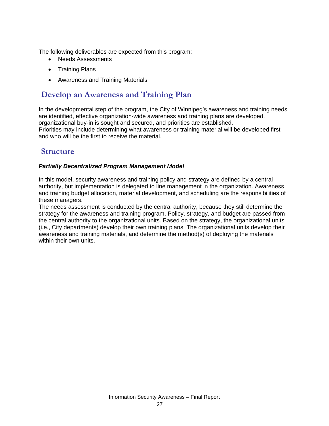<span id="page-26-0"></span>The following deliverables are expected from this program:

- Needs Assessments
- Training Plans
- Awareness and Training Materials

# **Develop an Awareness and Training Plan**

In the developmental step of the program, the City of Winnipeg's awareness and training needs are identified, effective organization-wide awareness and training plans are developed, organizational buy-in is sought and secured, and priorities are established. Priorities may include determining what awareness or training material will be developed first and who will be the first to receive the material.

# **Structure**

### *Partially Decentralized Program Management Model*

In this model, security awareness and training policy and strategy are defined by a central authority, but implementation is delegated to line management in the organization. Awareness and training budget allocation, material development, and scheduling are the responsibilities of these managers.

The needs assessment is conducted by the central authority, because they still determine the strategy for the awareness and training program. Policy, strategy, and budget are passed from the central authority to the organizational units. Based on the strategy, the organizational units (i.e., City departments) develop their own training plans. The organizational units develop their awareness and training materials, and determine the method(s) of deploying the materials within their own units.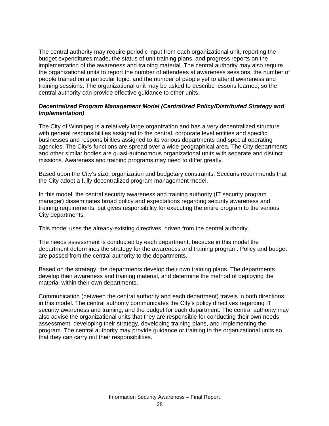The central authority may require periodic input from each organizational unit, reporting the budget expenditures made, the status of unit training plans, and progress reports on the implementation of the awareness and training material. The central authority may also require the organizational units to report the number of attendees at awareness sessions, the number of people trained on a particular topic, and the number of people yet to attend awareness and training sessions. The organizational unit may be asked to describe lessons learned, so the central authority can provide effective guidance to other units.

#### *Decentralized Program Management Model (Centralized Policy/Distributed Strategy and Implementation)*

The City of Winnipeg is a relatively large organization and has a very decentralized structure with general responsibilities assigned to the central, corporate level entities and specific businesses and responsibilities assigned to its various departments and special operating agencies. The City's functions are spread over a wide geographical area. The City departments and other similar bodies are quasi-autonomous organizational units with separate and distinct missions. Awareness and training programs may need to differ greatly.

Based upon the City's size, organization and budgetary constraints, Seccuris recommends that the City adopt a fully decentralized program management model.

In this model, the central security awareness and training authority (IT security program manager) disseminates broad policy and expectations regarding security awareness and training requirements, but gives responsibility for executing the entire program to the various City departments.

This model uses the already-existing directives, driven from the central authority.

The needs assessment is conducted by each department, because in this model the department determines the strategy for the awareness and training program. Policy and budget are passed from the central authority to the departments.

Based on the strategy, the departments develop their own training plans. The departments develop their awareness and training material, and determine the method of deploying the material within their own departments.

Communication (between the central authority and each department) travels in both directions in this model. The central authority communicates the City's policy directives regarding IT security awareness and training, and the budget for each department. The central authority may also advise the organizational units that they are responsible for conducting their own needs assessment, developing their strategy, developing training plans, and implementing the program. The central authority may provide guidance or training to the organizational units so that they can carry out their responsibilities.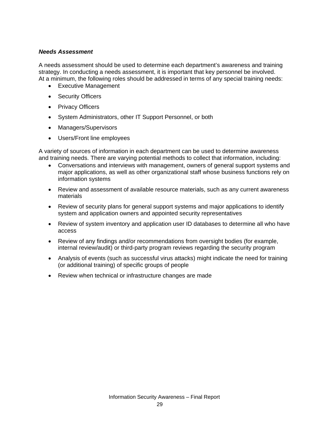#### *Needs Assessment*

A needs assessment should be used to determine each department's awareness and training strategy. In conducting a needs assessment, it is important that key personnel be involved. At a minimum, the following roles should be addressed in terms of any special training needs:

- Executive Management
- Security Officers
- Privacy Officers
- System Administrators, other IT Support Personnel, or both
- Managers/Supervisors
- Users/Front line employees

A variety of sources of information in each department can be used to determine awareness and training needs. There are varying potential methods to collect that information, including:

- Conversations and interviews with management, owners of general support systems and major applications, as well as other organizational staff whose business functions rely on information systems
- Review and assessment of available resource materials, such as any current awareness materials
- Review of security plans for general support systems and major applications to identify system and application owners and appointed security representatives
- Review of system inventory and application user ID databases to determine all who have access
- Review of any findings and/or recommendations from oversight bodies (for example, internal review/audit) or third-party program reviews regarding the security program
- Analysis of events (such as successful virus attacks) might indicate the need for training (or additional training) of specific groups of people
- Review when technical or infrastructure changes are made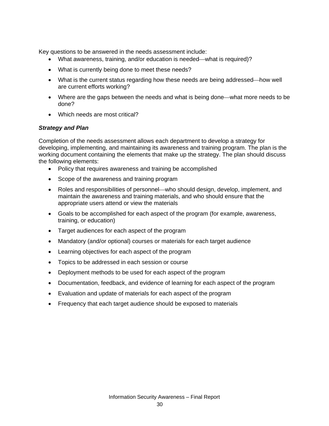Key questions to be answered in the needs assessment include:

- What awareness, training, and/or education is needed—what is required)?
- What is currently being done to meet these needs?
- What is the current status regarding how these needs are being addressed—how well are current efforts working?
- Where are the gaps between the needs and what is being done—what more needs to be done?
- Which needs are most critical?

#### *Strategy and Plan*

Completion of the needs assessment allows each department to develop a strategy for developing, implementing, and maintaining its awareness and training program. The plan is the working document containing the elements that make up the strategy. The plan should discuss the following elements:

- Policy that requires awareness and training be accomplished
- Scope of the awareness and training program
- Roles and responsibilities of personnel—who should design, develop, implement, and maintain the awareness and training materials, and who should ensure that the appropriate users attend or view the materials
- Goals to be accomplished for each aspect of the program (for example, awareness, training, or education)
- Target audiences for each aspect of the program
- Mandatory (and/or optional) courses or materials for each target audience
- Learning objectives for each aspect of the program
- Topics to be addressed in each session or course
- Deployment methods to be used for each aspect of the program
- Documentation, feedback, and evidence of learning for each aspect of the program
- Evaluation and update of materials for each aspect of the program
- Frequency that each target audience should be exposed to materials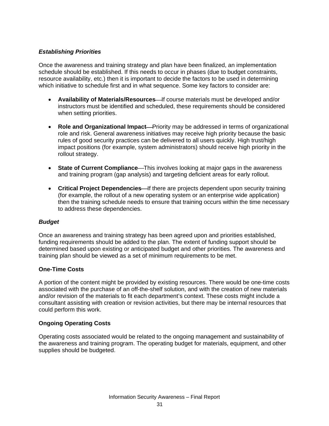## *Establishing Priorities*

Once the awareness and training strategy and plan have been finalized, an implementation schedule should be established. If this needs to occur in phases (due to budget constraints, resource availability, etc.) then it is important to decide the factors to be used in determining which initiative to schedule first and in what sequence. Some key factors to consider are:

- **Availability of Materials/Resources—If** course materials must be developed and/or instructors must be identified and scheduled, these requirements should be considered when setting priorities.
- **Role and Organizational Impact—Priority may be addressed in terms of organizational** role and risk. General awareness initiatives may receive high priority because the basic rules of good security practices can be delivered to all users quickly. High trust/high impact positions (for example, system administrators) should receive high priority in the rollout strategy.
- **State of Current Compliance**—This involves looking at major gaps in the awareness and training program (gap analysis) and targeting deficient areas for early rollout.
- Critical Project Dependencies—If there are projects dependent upon security training (for example, the rollout of a new operating system or an enterprise wide application) then the training schedule needs to ensure that training occurs within the time necessary to address these dependencies.

### *Budget*

Once an awareness and training strategy has been agreed upon and priorities established, funding requirements should be added to the plan. The extent of funding support should be determined based upon existing or anticipated budget and other priorities. The awareness and training plan should be viewed as a set of minimum requirements to be met.

### **One-Time Costs**

A portion of the content might be provided by existing resources. There would be one-time costs associated with the purchase of an off-the-shelf solution, and with the creation of new materials and/or revision of the materials to fit each department's context. These costs might include a consultant assisting with creation or revision activities, but there may be internal resources that could perform this work.

### **Ongoing Operating Costs**

Operating costs associated would be related to the ongoing management and sustainability of the awareness and training program. The operating budget for materials, equipment, and other supplies should be budgeted.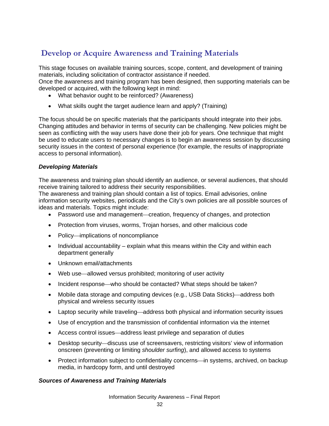# <span id="page-31-0"></span>**Develop or Acquire Awareness and Training Materials**

This stage focuses on available training sources, scope, content, and development of training materials, including solicitation of contractor assistance if needed.

Once the awareness and training program has been designed, then supporting materials can be developed or acquired, with the following kept in mind:

- What behavior ought to be reinforced? (Awareness)
- What skills ought the target audience learn and apply? (Training)

The focus should be on specific materials that the participants should integrate into their jobs. Changing attitudes and behavior in terms of security can be challenging. New policies might be seen as conflicting with the way users have done their job for years. One technique that might be used to educate users to necessary changes is to begin an awareness session by discussing security issues in the context of personal experience (for example, the results of inappropriate access to personal information).

### *Developing Materials*

The awareness and training plan should identify an audience, or several audiences, that should receive training tailored to address their security responsibilities.

The awareness and training plan should contain a list of topics. Email advisories, online information security websites, periodicals and the City's own policies are all possible sources of ideas and materials. Topics might include:

- Password use and management—creation, frequency of changes, and protection
- Protection from viruses, worms, Trojan horses, and other malicious code
- Policy—implications of noncompliance
- Individual accountability explain what this means within the City and within each department generally
- Unknown email/attachments
- Web use—allowed versus prohibited; monitoring of user activity
- Incident response—who should be contacted? What steps should be taken?
- Mobile data storage and computing devices (e.g., USB Data Sticks)—address both physical and wireless security issues
- Laptop security while traveling—address both physical and information security issues
- Use of encryption and the transmission of confidential information via the internet
- Access control issues—address least privilege and separation of duties
- Desktop security—discuss use of screensavers, restricting visitors' view of information onscreen (preventing or limiting *shoulder surfing*), and allowed access to systems
- Protect information subject to confidentiality concerns—in systems, archived, on backup media, in hardcopy form, and until destroyed

### *Sources of Awareness and Training Materials*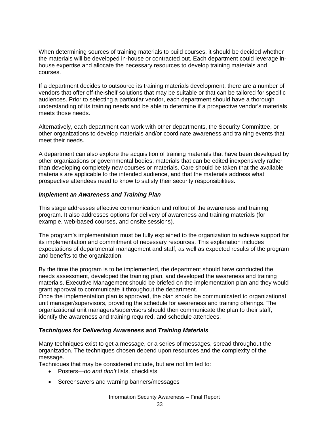When determining sources of training materials to build courses, it should be decided whether the materials will be developed in-house or contracted out. Each department could leverage inhouse expertise and allocate the necessary resources to develop training materials and courses.

If a department decides to outsource its training materials development, there are a number of vendors that offer off-the-shelf solutions that may be suitable or that can be tailored for specific audiences. Prior to selecting a particular vendor, each department should have a thorough understanding of its training needs and be able to determine if a prospective vendor's materials meets those needs.

Alternatively, each department can work with other departments, the Security Committee, or other organizations to develop materials and/or coordinate awareness and training events that meet their needs.

A department can also explore the acquisition of training materials that have been developed by other organizations or governmental bodies; materials that can be edited inexpensively rather than developing completely new courses or materials. Care should be taken that the available materials are applicable to the intended audience, and that the materials address what prospective attendees need to know to satisfy their security responsibilities.

#### *Implement an Awareness and Training Plan*

This stage addresses effective communication and rollout of the awareness and training program. It also addresses options for delivery of awareness and training materials (for example, web-based courses, and onsite sessions).

The program's implementation must be fully explained to the organization to achieve support for its implementation and commitment of necessary resources. This explanation includes expectations of departmental management and staff, as well as expected results of the program and benefits to the organization.

By the time the program is to be implemented, the department should have conducted the needs assessment, developed the training plan, and developed the awareness and training materials. Executive Management should be briefed on the implementation plan and they would grant approval to communicate it throughout the department.

Once the implementation plan is approved, the plan should be communicated to organizational unit manager/supervisors, providing the schedule for awareness and training offerings. The organizational unit managers/supervisors should then communicate the plan to their staff, identify the awareness and training required, and schedule attendees.

### *Techniques for Delivering Awareness and Training Materials*

Many techniques exist to get a message, or a series of messages, spread throughout the organization. The techniques chosen depend upon resources and the complexity of the message.

Techniques that may be considered include, but are not limited to:

- Posters—*do and don't* lists, checklists
- Screensavers and warning banners/messages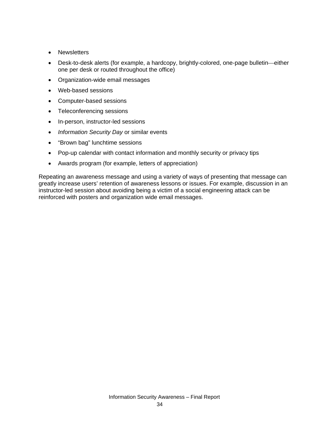- Newsletters
- Desk-to-desk alerts (for example, a hardcopy, brightly-colored, one-page bulletin—either one per desk or routed throughout the office)
- Organization-wide email messages
- Web-based sessions
- Computer-based sessions
- Teleconferencing sessions
- In-person, instructor-led sessions
- *Information Security Day* or similar events
- "Brown bag" lunchtime sessions
- Pop-up calendar with contact information and monthly security or privacy tips
- Awards program (for example, letters of appreciation)

Repeating an awareness message and using a variety of ways of presenting that message can greatly increase users' retention of awareness lessons or issues. For example, discussion in an instructor-led session about avoiding being a victim of a social engineering attack can be reinforced with posters and organization wide email messages.